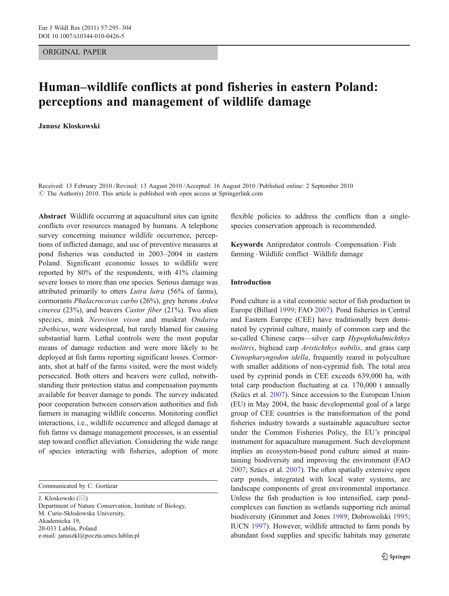## ORIGINAL PAPER

# Human–wildlife conflicts at pond fisheries in eastern Poland: perceptions and management of wildlife damage

Janusz Kloskowski

Received: 13 February 2010 /Revised: 13 August 2010 /Accepted: 16 August 2010 / Published online: 2 September 2010  $\circ$  The Author(s) 2010. This article is published with open access at Springerlink.com

Abstract Wildlife occurring at aquacultural sites can ignite conflicts over resources managed by humans. A telephone survey concerning nuisance wildlife occurrence, perceptions of inflicted damage, and use of preventive measures at pond fisheries was conducted in 2003–2004 in eastern Poland. Significant economic losses to wildlife were reported by 80% of the respondents, with 41% claiming severe losses to more than one species. Serious damage was attributed primarily to otters Lutra lutra (56% of farms), cormorants Phalacrocorax carbo (26%), grey herons Ardea cinerea (23%), and beavers Castor fiber (21%). Two alien species, mink Neovison vison and muskrat Ondatra zibethicus, were widespread, but rarely blamed for causing substantial harm. Lethal controls were the most popular means of damage reduction and were more likely to be deployed at fish farms reporting significant losses. Cormorants, shot at half of the farms visited, were the most widely persecuted. Both otters and beavers were culled, notwithstanding their protection status and compensation payments available for beaver damage to ponds. The survey indicated poor cooperation between conservation authorities and fish farmers in managing wildlife concerns. Monitoring conflict interactions, i.e., wildlife occurrence and alleged damage at fish farms vs damage management processes, is an essential step toward conflict alleviation. Considering the wide range of species interacting with fisheries, adoption of more

Communicated by C. Gortázar

J. Kloskowski  $(\boxtimes)$ Department of Nature Conservation, Institute of Biology, M. Curie-Skłodowska University, Akademicka 19, 20-033 Lublin, Poland e-mail: januszkl@poczta.umcs.lublin.pl

flexible policies to address the conflicts than a singlespecies conservation approach is recommended.

Keywords Antipredator controls. Compensation . Fish farming . Wildlife conflict . Wildlife damage

# Introduction

Pond culture is a vital economic sector of fish production in Europe (Billard [1999;](#page-8-0) FAO [2007\)](#page-9-0). Pond fisheries in Central and Eastern Europe (CEE) have traditionally been dominated by cyprinid culture, mainly of common carp and the so-called Chinese carps—silver carp Hypophthalmichthys molitrix, bighead carp Aristichthys nobilis, and grass carp Ctenopharyngodon idella, frequently reared in polyculture with smaller additions of non-cyprinid fish. The total area used by cyprinid ponds in CEE exceeds 639,000 ha, with total carp production fluctuating at ca. 170,000 t annually (Szücs et al. [2007](#page-9-0)). Since accession to the European Union (EU) in May 2004, the basic developmental goal of a large group of CEE countries is the transformation of the pond fisheries industry towards a sustainable aquaculture sector under the Common Fisheries Policy, the EU's principal instrument for aquaculture management. Such development implies an ecosystem-based pond culture aimed at maintaining biodiversity and improving the environment (FAO [2007](#page-9-0); Szücs et al. [2007](#page-9-0)). The often spatially extensive open carp ponds, integrated with local water systems, are landscape components of great environmental importance. Unless the fish production is too intensified, carp pondcomplexes can function as wetlands supporting rich animal biodiversity (Grimmet and Jones [1989;](#page-9-0) Dobrowolski [1995;](#page-9-0) IUCN [1997](#page-9-0)). However, wildlife attracted to farm ponds by abundant food supplies and specific habitats may generate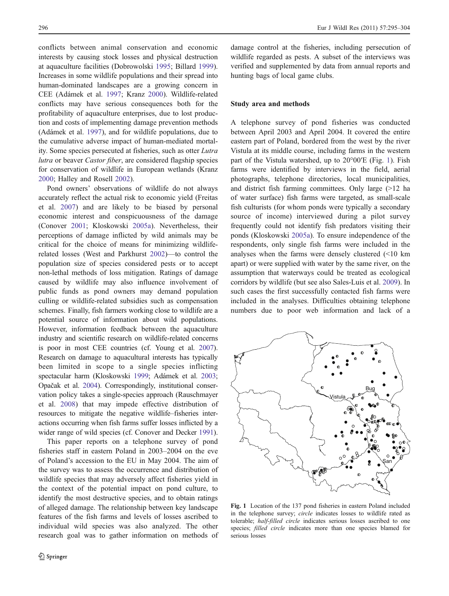<span id="page-1-0"></span>conflicts between animal conservation and economic interests by causing stock losses and physical destruction at aquaculture facilities (Dobrowolski [1995;](#page-9-0) Billard [1999](#page-8-0)). Increases in some wildlife populations and their spread into human-dominated landscapes are a growing concern in CEE (Adámek et al. [1997;](#page-8-0) Kranz [2000\)](#page-9-0). Wildlife-related conflicts may have serious consequences both for the profitability of aquaculture enterprises, due to lost production and costs of implementing damage prevention methods (Adámek et al. [1997](#page-8-0)), and for wildlife populations, due to the cumulative adverse impact of human-mediated mortality. Some species persecuted at fisheries, such as otter Lutra lutra or beaver Castor fiber, are considered flagship species for conservation of wildlife in European wetlands (Kranz [2000;](#page-9-0) Halley and Rosell [2002\)](#page-9-0).

Pond owners' observations of wildlife do not always accurately reflect the actual risk to economic yield (Freitas et al. [2007](#page-9-0)) and are likely to be biased by personal economic interest and conspicuousness of the damage (Conover [2001](#page-9-0); Kloskowski [2005a](#page-9-0)). Nevertheless, their perceptions of damage inflicted by wild animals may be critical for the choice of means for minimizing wildliferelated losses (West and Parkhurst [2002](#page-9-0))—to control the population size of species considered pests or to accept non-lethal methods of loss mitigation. Ratings of damage caused by wildlife may also influence involvement of public funds as pond owners may demand population culling or wildlife-related subsidies such as compensation schemes. Finally, fish farmers working close to wildlife are a potential source of information about wild populations. However, information feedback between the aquaculture industry and scientific research on wildlife-related concerns is poor in most CEE countries (cf. Young et al. [2007\)](#page-9-0). Research on damage to aquacultural interests has typically been limited in scope to a single species inflicting spectacular harm (Kloskowski [1999;](#page-9-0) Adámek et al. [2003](#page-8-0); Opačak et al. [2004](#page-9-0)). Correspondingly, institutional conservation policy takes a single-species approach (Rauschmayer et al. [2008](#page-9-0)) that may impede effective distribution of resources to mitigate the negative wildlife–fisheries interactions occurring when fish farms suffer losses inflicted by a wider range of wild species (cf. Conover and Decker [1991\)](#page-9-0).

This paper reports on a telephone survey of pond fisheries staff in eastern Poland in 2003–2004 on the eve of Poland's accession to the EU in May 2004. The aim of the survey was to assess the occurrence and distribution of wildlife species that may adversely affect fisheries yield in the context of the potential impact on pond culture, to identify the most destructive species, and to obtain ratings of alleged damage. The relationship between key landscape features of the fish farms and levels of losses ascribed to individual wild species was also analyzed. The other research goal was to gather information on methods of

damage control at the fisheries, including persecution of wildlife regarded as pests. A subset of the interviews was verified and supplemented by data from annual reports and hunting bags of local game clubs.

## Study area and methods

A telephone survey of pond fisheries was conducted between April 2003 and April 2004. It covered the entire eastern part of Poland, bordered from the west by the river Vistula at its middle course, including farms in the western part of the Vistula watershed, up to 20°00′E (Fig. 1). Fish farms were identified by interviews in the field, aerial photographs, telephone directories, local municipalities, and district fish farming committees. Only large (>12 ha of water surface) fish farms were targeted, as small-scale fish culturists (for whom ponds were typically a secondary source of income) interviewed during a pilot survey frequently could not identify fish predators visiting their ponds (Kloskowski [2005a](#page-9-0)). To ensure independence of the respondents, only single fish farms were included in the analyses when the farms were densely clustered (<10 km apart) or were supplied with water by the same river, on the assumption that waterways could be treated as ecological corridors by wildlife (but see also Sales-Luis et al. [2009\)](#page-9-0). In such cases the first successfully contacted fish farms were included in the analyses. Difficulties obtaining telephone numbers due to poor web information and lack of a



Fig. 1 Location of the 137 pond fisheries in eastern Poland included in the telephone survey; circle indicates losses to wildlife rated as tolerable; half-filled circle indicates serious losses ascribed to one species; *filled circle* indicates more than one species blamed for serious losses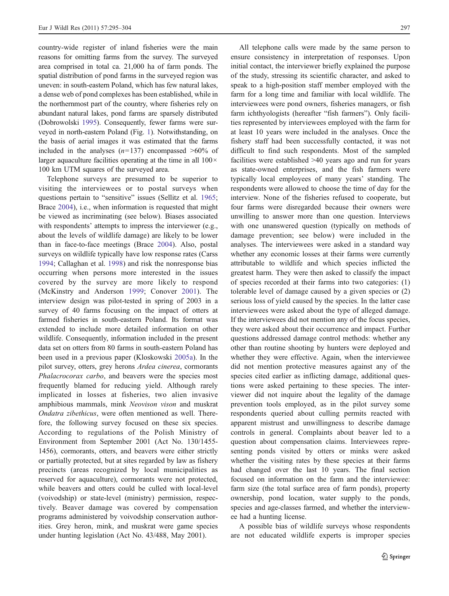country-wide register of inland fisheries were the main reasons for omitting farms from the survey. The surveyed area comprised in total ca. 21,000 ha of farm ponds. The spatial distribution of pond farms in the surveyed region was uneven: in south-eastern Poland, which has few natural lakes, a dense web of pond complexes has been established, while in the northernmost part of the country, where fisheries rely on abundant natural lakes, pond farms are sparsely distributed (Dobrowolski [1995](#page-9-0)). Consequently, fewer farms were surveyed in north-eastern Poland (Fig. [1\)](#page-1-0). Notwithstanding, on the basis of aerial images it was estimated that the farms included in the analyses  $(n=137)$  encompassed  $>60\%$  of larger aquaculture facilities operating at the time in all  $100 \times$ 100 km UTM squares of the surveyed area.

Telephone surveys are presumed to be superior to visiting the interviewees or to postal surveys when questions pertain to "sensitive" issues (Sellitz et al. [1965](#page-9-0); Brace [2004](#page-8-0)), i.e., when information is requested that might be viewed as incriminating (see below). Biases associated with respondents' attempts to impress the interviewer (e.g., about the levels of wildlife damage) are likely to be lower than in face-to-face meetings (Brace [2004\)](#page-8-0). Also, postal surveys on wildlife typically have low response rates (Carss [1994;](#page-8-0) Callaghan et al. [1998](#page-8-0)) and risk the nonresponse bias occurring when persons more interested in the issues covered by the survey are more likely to respond (McKinstry and Anderson [1999;](#page-9-0) Conover [2001](#page-9-0)). The interview design was pilot-tested in spring of 2003 in a survey of 40 farms focusing on the impact of otters at farmed fisheries in south-eastern Poland. Its format was extended to include more detailed information on other wildlife. Consequently, information included in the present data set on otters from 80 farms in south-eastern Poland has been used in a previous paper (Kloskowski [2005a](#page-9-0)). In the pilot survey, otters, grey herons Ardea cinerea, cormorants Phalacrocorax carbo, and beavers were the species most frequently blamed for reducing yield. Although rarely implicated in losses at fisheries, two alien invasive amphibious mammals, mink Neovison vison and muskrat Ondatra zibethicus, were often mentioned as well. Therefore, the following survey focused on these six species. According to regulations of the Polish Ministry of Environment from September 2001 (Act No. 130/1455- 1456), cormorants, otters, and beavers were either strictly or partially protected, but at sites regarded by law as fishery precincts (areas recognized by local municipalities as reserved for aquaculture), cormorants were not protected, while beavers and otters could be culled with local-level (voivodship) or state-level (ministry) permission, respectively. Beaver damage was covered by compensation programs administered by voivodship conservation authorities. Grey heron, mink, and muskrat were game species under hunting legislation (Act No. 43/488, May 2001).

All telephone calls were made by the same person to ensure consistency in interpretation of responses. Upon initial contact, the interviewer briefly explained the purpose of the study, stressing its scientific character, and asked to speak to a high-position staff member employed with the farm for a long time and familiar with local wildlife. The interviewees were pond owners, fisheries managers, or fish farm ichthyologists (hereafter "fish farmers"). Only facilities represented by interviewees employed with the farm for at least 10 years were included in the analyses. Once the fishery staff had been successfully contacted, it was not difficult to find such respondents. Most of the sampled facilities were established >40 years ago and run for years as state-owned enterprises, and the fish farmers were typically local employees of many years' standing. The respondents were allowed to choose the time of day for the interview. None of the fisheries refused to cooperate, but four farms were disregarded because their owners were unwilling to answer more than one question. Interviews with one unanswered question (typically on methods of damage prevention; see below) were included in the analyses. The interviewees were asked in a standard way whether any economic losses at their farms were currently attributable to wildlife and which species inflicted the greatest harm. They were then asked to classify the impact of species recorded at their farms into two categories: (1) tolerable level of damage caused by a given species or (2) serious loss of yield caused by the species. In the latter case interviewees were asked about the type of alleged damage. If the interviewees did not mention any of the focus species, they were asked about their occurrence and impact. Further questions addressed damage control methods: whether any other than routine shooting by hunters were deployed and whether they were effective. Again, when the interviewee did not mention protective measures against any of the species cited earlier as inflicting damage, additional questions were asked pertaining to these species. The interviewer did not inquire about the legality of the damage prevention tools employed, as in the pilot survey some respondents queried about culling permits reacted with apparent mistrust and unwillingness to describe damage controls in general. Complaints about beaver led to a question about compensation claims. Interviewees representing ponds visited by otters or minks were asked whether the visiting rates by these species at their farms had changed over the last 10 years. The final section focused on information on the farm and the interviewee: farm size (the total surface area of farm ponds), property ownership, pond location, water supply to the ponds, species and age-classes farmed, and whether the interviewee had a hunting license.

A possible bias of wildlife surveys whose respondents are not educated wildlife experts is improper species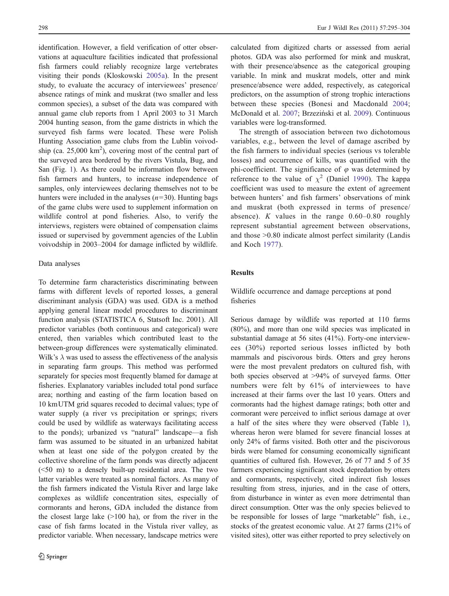identification. However, a field verification of otter observations at aquaculture facilities indicated that professional fish farmers could reliably recognize large vertebrates visiting their ponds (Kloskowski [2005a\)](#page-9-0). In the present study, to evaluate the accuracy of interviewees' presence/ absence ratings of mink and muskrat (two smaller and less common species), a subset of the data was compared with annual game club reports from 1 April 2003 to 31 March 2004 hunting season, from the game districts in which the surveyed fish farms were located. These were Polish Hunting Association game clubs from the Lublin voivodship (ca.  $25,000 \text{ km}^2$ ), covering most of the central part of the surveyed area bordered by the rivers Vistula, Bug, and San (Fig. [1](#page-1-0)). As there could be information flow between fish farmers and hunters, to increase independence of samples, only interviewees declaring themselves not to be hunters were included in the analyses  $(n=30)$ . Hunting bags of the game clubs were used to supplement information on wildlife control at pond fisheries. Also, to verify the interviews, registers were obtained of compensation claims issued or supervised by government agencies of the Lublin voivodship in 2003–2004 for damage inflicted by wildlife.

### Data analyses

To determine farm characteristics discriminating between farms with different levels of reported losses, a general discriminant analysis (GDA) was used. GDA is a method applying general linear model procedures to discriminant function analysis (STATISTICA 6, Statsoft Inc. 2001). All predictor variables (both continuous and categorical) were entered, then variables which contributed least to the between-group differences were systematically eliminated. Wilk's  $\lambda$  was used to assess the effectiveness of the analysis in separating farm groups. This method was performed separately for species most frequently blamed for damage at fisheries. Explanatory variables included total pond surface area; northing and easting of the farm location based on 10 kmUTM grid squares recoded to decimal values; type of water supply (a river vs precipitation or springs; rivers could be used by wildlife as waterways facilitating access to the ponds); urbanized vs "natural" landscape—a fish farm was assumed to be situated in an urbanized habitat when at least one side of the polygon created by the collective shoreline of the farm ponds was directly adjacent (<50 m) to a densely built-up residential area. The two latter variables were treated as nominal factors. As many of the fish farmers indicated the Vistula River and large lake complexes as wildlife concentration sites, especially of cormorants and herons, GDA included the distance from the closest large lake (>100 ha), or from the river in the case of fish farms located in the Vistula river valley, as predictor variable. When necessary, landscape metrics were

calculated from digitized charts or assessed from aerial photos. GDA was also performed for mink and muskrat, with their presence/absence as the categorical grouping variable. In mink and muskrat models, otter and mink presence/absence were added, respectively, as categorical predictors, on the assumption of strong trophic interactions between these species (Bonesi and Macdonald [2004;](#page-8-0) McDonald et al. [2007;](#page-9-0) Brzeziński et al. [2009](#page-8-0)). Continuous variables were log-transformed.

The strength of association between two dichotomous variables, e.g., between the level of damage ascribed by the fish farmers to individual species (serious vs tolerable losses) and occurrence of kills, was quantified with the phi-coefficient. The significance of  $\varphi$  was determined by reference to the value of  $\chi^2$  (Daniel [1990\)](#page-9-0). The kappa coefficient was used to measure the extent of agreement between hunters' and fish farmers' observations of mink and muskrat (both expressed in terms of presence/ absence). K values in the range  $0.60-0.80$  roughly represent substantial agreement between observations, and those >0.80 indicate almost perfect similarity (Landis and Koch [1977\)](#page-9-0).

# Results

# Wildlife occurrence and damage perceptions at pond fisheries

Serious damage by wildlife was reported at 110 farms (80%), and more than one wild species was implicated in substantial damage at 56 sites (41%). Forty-one interviewees (30%) reported serious losses inflicted by both mammals and piscivorous birds. Otters and grey herons were the most prevalent predators on cultured fish, with both species observed at >94% of surveyed farms. Otter numbers were felt by 61% of interviewees to have increased at their farms over the last 10 years. Otters and cormorants had the highest damage ratings; both otter and cormorant were perceived to inflict serious damage at over a half of the sites where they were observed (Table [1\)](#page-4-0), whereas heron were blamed for severe financial losses at only 24% of farms visited. Both otter and the piscivorous birds were blamed for consuming economically significant quantities of cultured fish. However, 26 of 77 and 5 of 35 farmers experiencing significant stock depredation by otters and cormorants, respectively, cited indirect fish losses resulting from stress, injuries, and in the case of otters, from disturbance in winter as even more detrimental than direct consumption. Otter was the only species believed to be responsible for losses of large "marketable" fish, i.e., stocks of the greatest economic value. At 27 farms (21% of visited sites), otter was either reported to prey selectively on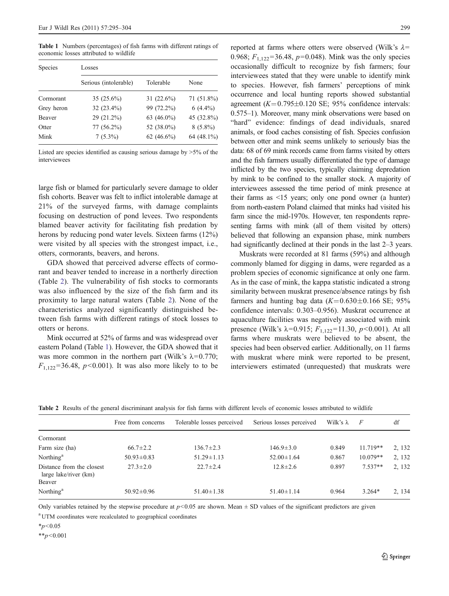<span id="page-4-0"></span>Table 1 Numbers (percentages) of fish farms with different ratings of economic losses attributed to wildlife

| Species       | Losses                |               |            |  |  |  |
|---------------|-----------------------|---------------|------------|--|--|--|
|               | Serious (intolerable) | Tolerable     | None       |  |  |  |
| Cormorant     | $35(25.6\%)$          | 31 $(22.6\%)$ | 71 (51.8%) |  |  |  |
| Grey heron    | $32(23.4\%)$          | 99 (72.2%)    | $6(4.4\%)$ |  |  |  |
| <b>Beaver</b> | 29 (21.2%)            | 63 $(46.0\%)$ | 45 (32.8%) |  |  |  |
| Otter         | 77 (56.2%)            | 52 (38.0%)    | $8(5.8\%)$ |  |  |  |
| Mink          | $7(5.3\%)$            | 62 $(46.6\%)$ | 64 (48.1%) |  |  |  |

Listed are species identified as causing serious damage by >5% of the interviewees

large fish or blamed for particularly severe damage to older fish cohorts. Beaver was felt to inflict intolerable damage at 21% of the surveyed farms, with damage complaints focusing on destruction of pond levees. Two respondents blamed beaver activity for facilitating fish predation by herons by reducing pond water levels. Sixteen farms (12%) were visited by all species with the strongest impact, i.e., otters, cormorants, beavers, and herons.

GDA showed that perceived adverse effects of cormorant and beaver tended to increase in a northerly direction (Table 2). The vulnerability of fish stocks to cormorants was also influenced by the size of the fish farm and its proximity to large natural waters (Table 2). None of the characteristics analyzed significantly distinguished between fish farms with different ratings of stock losses to otters or herons.

Mink occurred at 52% of farms and was widespread over eastern Poland (Table 1). However, the GDA showed that it was more common in the northern part (Wilk's  $\lambda$ =0.770;  $F_{1,122}$ =36.48, p<0.001). It was also more likely to to be reported at farms where otters were observed (Wilk's  $\lambda$ = 0.968;  $F_{1,122}$ =36.48,  $p$ =0.048). Mink was the only species occasionally difficult to recognize by fish farmers; four interviewees stated that they were unable to identify mink to species. However, fish farmers' perceptions of mink occurrence and local hunting reports showed substantial agreement  $(K=0.795\pm0.120 \text{ SE}; 95\% \text{ confidence intervals:}$ 0.575–1). Moreover, many mink observations were based on "hard" evidence: findings of dead individuals, snared animals, or food caches consisting of fish. Species confusion between otter and mink seems unlikely to seriously bias the data: 68 of 69 mink records came from farms visited by otters and the fish farmers usually differentiated the type of damage inflicted by the two species, typically claiming depredation by mink to be confined to the smaller stock. A majority of interviewees assessed the time period of mink presence at their farms as <15 years; only one pond owner (a hunter) from north-eastern Poland claimed that minks had visited his farm since the mid-1970s. However, ten respondents representing farms with mink (all of them visited by otters) believed that following an expansion phase, mink numbers had significantly declined at their ponds in the last  $2-3$  years.

Muskrats were recorded at 81 farms (59%) and although commonly blamed for digging in dams, were regarded as a problem species of economic significance at only one farm. As in the case of mink, the kappa statistic indicated a strong similarity between muskrat presence/absence ratings by fish farmers and hunting bag data  $(K=0.630\pm0.166 \text{ SE}; 95\%$ confidence intervals: 0.303–0.956). Muskrat occurrence at aquaculture facilities was negatively associated with mink presence (Wilk's  $\lambda$ =0.915;  $F_{1,122}$ =11.30, p<0.001). At all farms where muskrats were believed to be absent, the species had been observed earlier. Additionally, on 11 farms with muskrat where mink were reported to be present, interviewers estimated (unrequested) that muskrats were

|                                                              | Free from concerns | Tolerable losses perceived | Serious losses perceived | Wilk's $\lambda$ | $\overline{F}$ | df     |
|--------------------------------------------------------------|--------------------|----------------------------|--------------------------|------------------|----------------|--------|
| Cormorant                                                    |                    |                            |                          |                  |                |        |
| Farm size (ha)                                               | $66.7 \pm 2.2$     | $136.7 \pm 2.3$            | $146.9 \pm 3.0$          | 0.849            | $11.719**$     | 2, 132 |
| Northing <sup>a</sup>                                        | $50.93 \pm 0.83$   | $51.29 \pm 1.13$           | $52.00 \pm 1.64$         | 0.867            | $10.079**$     | 2, 132 |
| Distance from the closest<br>large lake/river (km)<br>Beaver | $27.3 \pm 2.0$     | $22.7 \pm 2.4$             | $12.8 \pm 2.6$           | 0.897            | $7.537**$      | 2.132  |
| Northing <sup>a</sup>                                        | $50.92 \pm 0.96$   | $51.40 \pm 1.38$           | $51.40 \pm 1.14$         | 0.964            | $3.264*$       | 2, 134 |

Table 2 Results of the general discriminant analysis for fish farms with different levels of economic losses attributed to wildlife

Only variables retained by the stepwise procedure at  $p<0.05$  are shown. Mean  $\pm$  SD values of the significant predictors are given

<sup>a</sup> UTM coordinates were recalculated to geographical coordinates

 $*_{p<0.05}$ 

 $*p<0.001$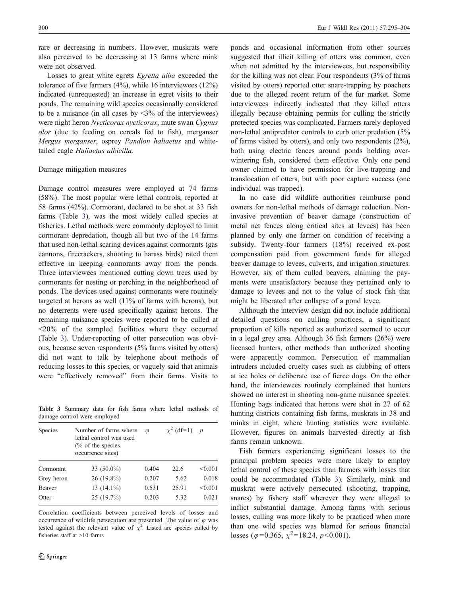rare or decreasing in numbers. However, muskrats were also perceived to be decreasing at 13 farms where mink were not observed.

Losses to great white egrets Egretta alba exceeded the tolerance of five farmers (4%), while 16 interviewees (12%) indicated (unrequested) an increase in egret visits to their ponds. The remaining wild species occasionally considered to be a nuisance (in all cases by  $\langle 3\% \rangle$  of the interviewees) were night heron Nycticorax nycticorax, mute swan Cygnus olor (due to feeding on cereals fed to fish), merganser Mergus merganser, osprey Pandion haliaetus and whitetailed eagle Haliaetus albicilla.

## Damage mitigation measures

Damage control measures were employed at 74 farms (58%). The most popular were lethal controls, reported at 58 farms (42%). Cormorant, declared to be shot at 33 fish farms (Table 3), was the most widely culled species at fisheries. Lethal methods were commonly deployed to limit cormorant depredation, though all but two of the 14 farms that used non-lethal scaring devices against cormorants (gas cannons, firecrackers, shooting to harass birds) rated them effective in keeping cormorants away from the ponds. Three interviewees mentioned cutting down trees used by cormorants for nesting or perching in the neighborhood of ponds. The devices used against cormorants were routinely targeted at herons as well (11% of farms with herons), but no deterrents were used specifically against herons. The remaining nuisance species were reported to be culled at <20% of the sampled facilities where they occurred (Table 3). Under-reporting of otter persecution was obvious, because seven respondents (5% farms visited by otters) did not want to talk by telephone about methods of reducing losses to this species, or vaguely said that animals were "effectively removed" from their farms. Visits to

Table 3 Summary data for fish farms where lethal methods of damage control were employed

| Species       | Number of farms where<br>lethal control was used<br>$\frac{6}{6}$ of the species<br>occurrence sites) | $\varnothing$ | $\chi^2$ (df=1) p |         |
|---------------|-------------------------------------------------------------------------------------------------------|---------------|-------------------|---------|
| Cormorant     | 33 $(50.0\%)$                                                                                         | 0.404         | 22.6              | < 0.001 |
| Grey heron    | $26(19.8\%)$                                                                                          | 0.207         | 5.62              | 0.018   |
| <b>Beaver</b> | 13 $(14.1\%)$                                                                                         | 0.531         | 25.91             | < 0.001 |
| Otter         | $25(19.7\%)$                                                                                          | 0.203         | 5.32              | 0.021   |
|               |                                                                                                       |               |                   |         |

Correlation coefficients between perceived levels of losses and occurrence of wildlife persecution are presented. The value of  $\varphi$  was tested against the relevant value of  $\chi^2$ . Listed are species culled by fisheries staff at >10 farms

ponds and occasional information from other sources suggested that illicit killing of otters was common, even when not admitted by the interviewees, but responsibility for the killing was not clear. Four respondents (3% of farms visited by otters) reported otter snare-trapping by poachers due to the alleged recent return of the fur market. Some interviewees indirectly indicated that they killed otters illegally because obtaining permits for culling the strictly protected species was complicated. Farmers rarely deployed non-lethal antipredator controls to curb otter predation (5% of farms visited by otters), and only two respondents (2%), both using electric fences around ponds holding overwintering fish, considered them effective. Only one pond owner claimed to have permission for live-trapping and translocation of otters, but with poor capture success (one individual was trapped).

In no case did wildlife authorities reimburse pond owners for non-lethal methods of damage reduction. Noninvasive prevention of beaver damage (construction of metal net fences along critical sites at levees) has been planned by only one farmer on condition of receiving a subsidy. Twenty-four farmers (18%) received ex-post compensation paid from government funds for alleged beaver damage to levees, culverts, and irrigation structures. However, six of them culled beavers, claiming the payments were unsatisfactory because they pertained only to damage to levees and not to the value of stock fish that might be liberated after collapse of a pond levee.

Although the interview design did not include additional detailed questions on culling practices, a significant proportion of kills reported as authorized seemed to occur in a legal grey area. Although 36 fish farmers (26%) were licensed hunters, other methods than authorized shooting were apparently common. Persecution of mammalian intruders included cruelty cases such as clubbing of otters at ice holes or deliberate use of fierce dogs. On the other hand, the interviewees routinely complained that hunters showed no interest in shooting non-game nuisance species. Hunting bags indicated that herons were shot in 27 of 62 hunting districts containing fish farms, muskrats in 38 and minks in eight, where hunting statistics were available. However, figures on animals harvested directly at fish farms remain unknown.

Fish farmers experiencing significant losses to the principal problem species were more likely to employ lethal control of these species than farmers with losses that could be accommodated (Table 3). Similarly, mink and muskrat were actively persecuted (shooting, trapping, snares) by fishery staff wherever they were alleged to inflict substantial damage. Among farms with serious losses, culling was more likely to be practiced when more than one wild species was blamed for serious financial losses ( $\varphi$ =0.365,  $\chi^2$ =18.24,  $p$ <0.001).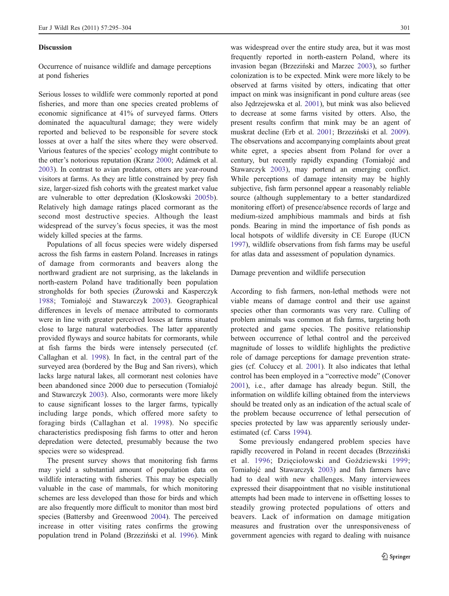#### **Discussion**

Occurrence of nuisance wildlife and damage perceptions at pond fisheries

Serious losses to wildlife were commonly reported at pond fisheries, and more than one species created problems of economic significance at 41% of surveyed farms. Otters dominated the aquacultural damage; they were widely reported and believed to be responsible for severe stock losses at over a half the sites where they were observed. Various features of the species' ecology might contribute to the otter's notorious reputation (Kranz [2000](#page-9-0); Adámek et al. [2003\)](#page-8-0). In contrast to avian predators, otters are year-round visitors at farms. As they are little constrained by prey fish size, larger-sized fish cohorts with the greatest market value are vulnerable to otter depredation (Kloskowski [2005b](#page-9-0)). Relatively high damage ratings placed cormorant as the second most destructive species. Although the least widespread of the survey's focus species, it was the most widely killed species at the farms.

Populations of all focus species were widely dispersed across the fish farms in eastern Poland. Increases in ratings of damage from cormorants and beavers along the northward gradient are not surprising, as the lakelands in north-eastern Poland have traditionally been population strongholds for both species (Żurowski and Kasperczyk [1988](#page-9-0); Tomiałojć and Stawarczyk [2003\)](#page-9-0). Geographical differences in levels of menace attributed to cormorants were in line with greater perceived losses at farms situated close to large natural waterbodies. The latter apparently provided flyways and source habitats for cormorants, while at fish farms the birds were intensely persecuted (cf. Callaghan et al. [1998\)](#page-8-0). In fact, in the central part of the surveyed area (bordered by the Bug and San rivers), which lacks large natural lakes, all cormorant nest colonies have been abandoned since 2000 due to persecution (Tomiałojć and Stawarczyk [2003](#page-9-0)). Also, cormorants were more likely to cause significant losses to the larger farms, typically including large ponds, which offered more safety to foraging birds (Callaghan et al. [1998\)](#page-8-0). No specific characteristics predisposing fish farms to otter and heron depredation were detected, presumably because the two species were so widespread.

The present survey shows that monitoring fish farms may yield a substantial amount of population data on wildlife interacting with fisheries. This may be especially valuable in the case of mammals, for which monitoring schemes are less developed than those for birds and which are also frequently more difficult to monitor than most bird species (Battersby and Greenwood [2004](#page-8-0)). The perceived increase in otter visiting rates confirms the growing population trend in Poland (Brzeziński et al. [1996](#page-8-0)). Mink

was widespread over the entire study area, but it was most frequently reported in north-eastern Poland, where its invasion began (Brzeziński and Marzec [2003](#page-8-0)), so further colonization is to be expected. Mink were more likely to be observed at farms visited by otters, indicating that otter impact on mink was insignificant in pond culture areas (see also Jędrzejewska et al. [2001](#page-9-0)), but mink was also believed to decrease at some farms visited by otters. Also, the present results confirm that mink may be an agent of muskrat decline (Erb et al. [2001;](#page-9-0) Brzeziński et al. [2009\)](#page-8-0). The observations and accompanying complaints about great white egret, a species absent from Poland for over a century, but recently rapidly expanding (Tomiałojć and Stawarczyk [2003](#page-9-0)), may portend an emerging conflict. While perceptions of damage intensity may be highly subjective, fish farm personnel appear a reasonably reliable source (although supplementary to a better standardized monitoring effort) of presence/absence records of large and medium-sized amphibious mammals and birds at fish ponds. Bearing in mind the importance of fish ponds as local hotspots of wildlife diversity in CE Europe (IUCN [1997](#page-9-0)), wildlife observations from fish farms may be useful for atlas data and assessment of population dynamics.

# Damage prevention and wildlife persecution

According to fish farmers, non-lethal methods were not viable means of damage control and their use against species other than cormorants was very rare. Culling of problem animals was common at fish farms, targeting both protected and game species. The positive relationship between occurrence of lethal control and the perceived magnitude of losses to wildlife highlights the predictive role of damage perceptions for damage prevention strategies (cf. Coluccy et al. [2001](#page-8-0)). It also indicates that lethal control has been employed in a "corrective mode" (Conover [2001](#page-9-0)), i.e., after damage has already begun. Still, the information on wildlife killing obtained from the interviews should be treated only as an indication of the actual scale of the problem because occurrence of lethal persecution of species protected by law was apparently seriously underestimated (cf. Carss [1994](#page-8-0)).

Some previously endangered problem species have rapidly recovered in Poland in recent decades (Brzeziński et al. [1996;](#page-8-0) Dzięciołowski and Goździewski [1999;](#page-9-0) Tomiałojć and Stawarczyk [2003](#page-9-0)) and fish farmers have had to deal with new challenges. Many interviewees expressed their disappointment that no visible institutional attempts had been made to intervene in offsetting losses to steadily growing protected populations of otters and beavers. Lack of information on damage mitigation measures and frustration over the unresponsiveness of government agencies with regard to dealing with nuisance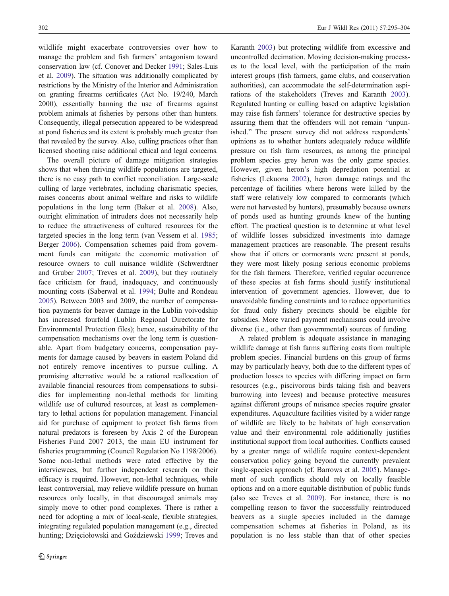wildlife might exacerbate controversies over how to manage the problem and fish farmers' antagonism toward conservation law (cf. Conover and Decker [1991](#page-9-0); Sales-Luis et al. [2009](#page-9-0)). The situation was additionally complicated by restrictions by the Ministry of the Interior and Administration on granting firearms certificates (Act No. 19/240, March 2000), essentially banning the use of firearms against problem animals at fisheries by persons other than hunters. Consequently, illegal persecution appeared to be widespread at pond fisheries and its extent is probably much greater than that revealed by the survey. Also, culling practices other than licensed shooting raise additional ethical and legal concerns.

The overall picture of damage mitigation strategies shows that when thriving wildlife populations are targeted, there is no easy path to conflict reconciliation. Large-scale culling of large vertebrates, including charismatic species, raises concerns about animal welfare and risks to wildlife populations in the long term (Baker et al. [2008](#page-8-0)). Also, outright elimination of intruders does not necessarily help to reduce the attractiveness of cultured resources for the targeted species in the long term (van Vessem et al. [1985](#page-9-0); Berger [2006](#page-8-0)). Compensation schemes paid from government funds can mitigate the economic motivation of resource owners to cull nuisance wildlife (Schwerdtner and Gruber [2007;](#page-9-0) Treves et al. [2009](#page-9-0)), but they routinely face criticism for fraud, inadequacy, and continuously mounting costs (Saberwal et al. [1994](#page-9-0); Bulte and Rondeau [2005\)](#page-8-0). Between 2003 and 2009, the number of compensation payments for beaver damage in the Lublin voivodship has increased fourfold (Lublin Regional Directorate for Environmental Protection files); hence, sustainability of the compensation mechanisms over the long term is questionable. Apart from budgetary concerns, compensation payments for damage caused by beavers in eastern Poland did not entirely remove incentives to pursue culling. A promising alternative would be a rational reallocation of available financial resources from compensations to subsidies for implementing non-lethal methods for limiting wildlife use of cultured resources, at least as complementary to lethal actions for population management. Financial aid for purchase of equipment to protect fish farms from natural predators is foreseen by Axis 2 of the European Fisheries Fund 2007–2013, the main EU instrument for fisheries programming (Council Regulation No 1198/2006). Some non-lethal methods were rated effective by the interviewees, but further independent research on their efficacy is required. However, non-lethal techniques, while least controversial, may relieve wildlife pressure on human resources only locally, in that discouraged animals may simply move to other pond complexes. There is rather a need for adopting a mix of local-scale, flexible strategies, integrating regulated population management (e.g., directed hunting; Dzięciołowski and Goździewski [1999](#page-9-0); Treves and

Karanth [2003\)](#page-9-0) but protecting wildlife from excessive and uncontrolled decimation. Moving decision-making processes to the local level, with the participation of the main interest groups (fish farmers, game clubs, and conservation authorities), can accommodate the self-determination aspirations of the stakeholders (Treves and Karanth [2003\)](#page-9-0). Regulated hunting or culling based on adaptive legislation may raise fish farmers' tolerance for destructive species by assuring them that the offenders will not remain "unpunished." The present survey did not address respondents' opinions as to whether hunters adequately reduce wildlife pressure on fish farm resources, as among the principal problem species grey heron was the only game species. However, given heron's high depredation potential at fisheries (Lekuona [2002](#page-9-0)), heron damage ratings and the percentage of facilities where herons were killed by the staff were relatively low compared to cormorants (which were not harvested by hunters), presumably because owners of ponds used as hunting grounds knew of the hunting effort. The practical question is to determine at what level of wildlife losses subsidized investments into damage management practices are reasonable. The present results show that if otters or cormorants were present at ponds, they were most likely posing serious economic problems for the fish farmers. Therefore, verified regular occurrence of these species at fish farms should justify institutional intervention of government agencies. However, due to unavoidable funding constraints and to reduce opportunities for fraud only fishery precincts should be eligible for subsidies. More varied payment mechanisms could involve diverse (i.e., other than governmental) sources of funding.

A related problem is adequate assistance in managing wildlife damage at fish farms suffering costs from multiple problem species. Financial burdens on this group of farms may by particularly heavy, both due to the different types of production losses to species with differing impact on farm resources (e.g., piscivorous birds taking fish and beavers burrowing into levees) and because protective measures against different groups of nuisance species require greater expenditures. Aquaculture facilities visited by a wider range of wildlife are likely to be habitats of high conservation value and their environmental role additionally justifies institutional support from local authorities. Conflicts caused by a greater range of wildlife require context-dependent conservation policy going beyond the currently prevalent single-species approach (cf. Barrows et al. [2005](#page-8-0)). Management of such conflicts should rely on locally feasible options and on a more equitable distribution of public funds (also see Treves et al. [2009](#page-9-0)). For instance, there is no compelling reason to favor the successfully reintroduced beavers as a single species included in the damage compensation schemes at fisheries in Poland, as its population is no less stable than that of other species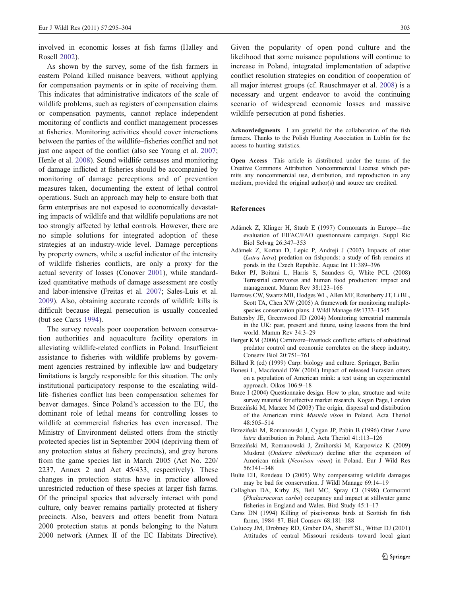<span id="page-8-0"></span>involved in economic losses at fish farms (Halley and Rosell [2002\)](#page-9-0).

As shown by the survey, some of the fish farmers in eastern Poland killed nuisance beavers, without applying for compensation payments or in spite of receiving them. This indicates that administrative indicators of the scale of wildlife problems, such as registers of compensation claims or compensation payments, cannot replace independent monitoring of conflicts and conflict management processes at fisheries. Monitoring activities should cover interactions between the parties of the wildlife–fisheries conflict and not just one aspect of the conflict (also see Young et al. [2007](#page-9-0); Henle et al. [2008\)](#page-9-0). Sound wildlife censuses and monitoring of damage inflicted at fisheries should be accompanied by monitoring of damage perceptions and of prevention measures taken, documenting the extent of lethal control operations. Such an approach may help to ensure both that farm enterprises are not exposed to economically devastating impacts of wildlife and that wildlife populations are not too strongly affected by lethal controls. However, there are no simple solutions for integrated adoption of these strategies at an industry-wide level. Damage perceptions by property owners, while a useful indicator of the intensity of wildlife–fisheries conflicts, are only a proxy for the actual severity of losses (Conover [2001](#page-9-0)), while standardized quantitative methods of damage assessment are costly and labor-intensive (Freitas et al. [2007](#page-9-0); Sales-Luis et al. [2009\)](#page-9-0). Also, obtaining accurate records of wildlife kills is difficult because illegal persecution is usually concealed (but see Carss 1994).

The survey reveals poor cooperation between conservation authorities and aquaculture facility operators in alleviating wildlife-related conflicts in Poland. Insufficient assistance to fisheries with wildlife problems by government agencies restrained by inflexible law and budgetary limitations is largely responsible for this situation. The only institutional participatory response to the escalating wildlife–fisheries conflict has been compensation schemes for beaver damages. Since Poland's accession to the EU, the dominant role of lethal means for controlling losses to wildlife at commercial fisheries has even increased. The Ministry of Environment delisted otters from the strictly protected species list in September 2004 (depriving them of any protection status at fishery precincts), and grey herons from the game species list in March 2005 (Act No. 220/ 2237, Annex 2 and Act 45/433, respectively). These changes in protection status have in practice allowed unrestricted reduction of these species at larger fish farms. Of the principal species that adversely interact with pond culture, only beaver remains partially protected at fishery precincts. Also, beavers and otters benefit from Natura 2000 protection status at ponds belonging to the Natura 2000 network (Annex II of the EC Habitats Directive).

Given the popularity of open pond culture and the likelihood that some nuisance populations will continue to increase in Poland, integrated implementation of adaptive conflict resolution strategies on condition of cooperation of all major interest groups (cf. Rauschmayer et al. [2008\)](#page-9-0) is a necessary and urgent endeavor to avoid the continuing scenario of widespread economic losses and massive wildlife persecution at pond fisheries.

Acknowledgments I am grateful for the collaboration of the fish farmers. Thanks to the Polish Hunting Association in Lublin for the access to hunting statistics.

Open Access This article is distributed under the terms of the Creative Commons Attribution Noncommercial License which permits any noncommercial use, distribution, and reproduction in any medium, provided the original author(s) and source are credited.

## References

- Adámek Z, Klinger H, Staub E (1997) Cormorants in Europe—the evaluation of EIFAC/FAO questionnaire campaign. Suppl Ric Biol Selvag 26:347–353
- Adámek Z, Kortan D, Lepic P, Andreji J (2003) Impacts of otter (Lutra lutra) predation on fishponds: a study of fish remains at ponds in the Czech Republic. Aquac Int 11:389–396
- Baker PJ, Boitani L, Harris S, Saunders G, White PCL (2008) Terrestrial carnivores and human food production: impact and management. Mamm Rev 38:123–166
- Barrows CW, Swartz MB, Hodges WL, Allen MF, Rotenberry JT, Li BL, Scott TA, Chen XW (2005) A framework for monitoring multiplespecies conservation plans. J Wildl Manage 69:1333–1345
- Battersby JE, Greenwood JD (2004) Monitoring terrestrial mammals in the UK: past, present and future, using lessons from the bird world. Mamm Rev 34:3–29
- Berger KM (2006) Carnivore–livestock conflicts: effects of subsidized predator control and economic correlates on the sheep industry. Conserv Biol 20:751–761
- Billard R (ed) (1999) Carp: biology and culture. Springer, Berlin
- Bonesi L, Macdonald DW (2004) Impact of released Eurasian otters on a population of American mink: a test using an experimental approach. Oikos 106:9–18
- Brace I (2004) Questionnaire design. How to plan, structure and write survey material for effective market research. Kogan Page, London
- Brzeziński M, Marzec M (2003) The origin, dispersal and distribution of the American mink Mustela vison in Poland. Acta Theriol 48:505–514
- Brzeziński M, Romanowski J, Cygan JP, Pabin B (1996) Otter Lutra lutra distribution in Poland. Acta Theriol 41:113–126
- Brzeziński M, Romanowski J, Żmihorski M, Karpowicz K (2009) Muskrat (Ondatra zibethicus) decline after the expansion of American mink (Neovison vison) in Poland. Eur J Wild Res 56:341–348
- Bulte EH, Rondeau D (2005) Why compensating wildlife damages may be bad for conservation. J Wildl Manage 69:14–19
- Callaghan DA, Kirby JS, Bell MC, Spray CJ (1998) Cormorant (Phalacrocorax carbo) occupancy and impact at stillwater game fisheries in England and Wales. Bird Study 45:1–17
- Carss DN (1994) Killing of piscivorous birds at Scottish fin fish farms, 1984–87. Biol Conserv 68:181–188
- Coluccy JM, Drobney RD, Graber DA, Sheriff SL, Witter DJ (2001) Attitudes of central Missouri residents toward local giant